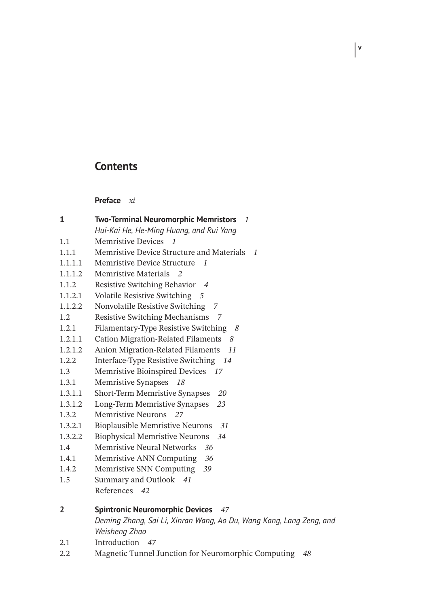## **Contents**

**v**

**Preface** *xi*

| 1       | <b>Two-Terminal Neuromorphic Memristors</b><br>1                    |
|---------|---------------------------------------------------------------------|
|         | Hui-Kai He, He-Ming Huang, and Rui Yang                             |
| 1.1     | <b>Memristive Devices</b><br>$\mathbf{1}$                           |
| 1.1.1   | Memristive Device Structure and Materials<br>-1                     |
| 1.1.1.1 | Memristive Device Structure<br>1                                    |
| 1.1.1.2 | Memristive Materials 2                                              |
| 1.1.2   | Resistive Switching Behavior<br>$\overline{4}$                      |
| 1.1.2.1 | Volatile Resistive Switching 5                                      |
| 1.1.2.2 | Nonvolatile Resistive Switching<br>7                                |
| 1.2     | Resistive Switching Mechanisms 7                                    |
| 1.2.1   | Filamentary-Type Resistive Switching<br>-8                          |
| 1.2.1.1 | <b>Cation Migration-Related Filaments</b><br>8                      |
| 1.2.1.2 | Anion Migration-Related Filaments<br>11                             |
| 1.2.2   | Interface-Type Resistive Switching 14                               |
| 1.3     | Memristive Bioinspired Devices<br>17                                |
| 1.3.1   | Memristive Synapses 18                                              |
| 1.3.1.1 | Short-Term Memristive Synapses<br>20                                |
| 1.3.1.2 | Long-Term Memristive Synapses<br>23                                 |
| 1.3.2   | Memristive Neurons 27                                               |
| 1.3.2.1 | <b>Bioplausible Memristive Neurons</b><br>31                        |
| 1.3.2.2 | <b>Biophysical Memristive Neurons</b><br>34                         |
| 1.4     | <b>Memristive Neural Networks</b><br>36                             |
| 1.4.1   | Memristive ANN Computing<br>36                                      |
| 1.4.2   | Memristive SNN Computing<br>39                                      |
| 1.5     | Summary and Outlook<br>41                                           |
|         | References 42                                                       |
| 2       | <b>Spintronic Neuromorphic Devices</b> 47                           |
|         | Deming Zhang, Sai Li, Xinran Wang, Ao Du, Wang Kang, Lang Zeng, and |
|         | Weisheng Zhao                                                       |
| 2.1     | Introduction 47                                                     |
| 2.2     | Magnetic Tunnel Junction for Neuromorphic Computing<br>48           |
|         |                                                                     |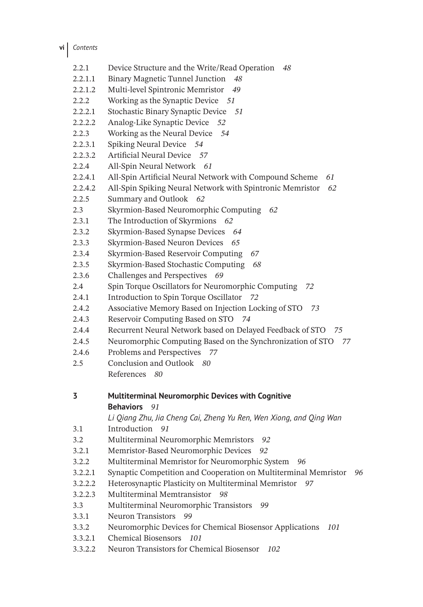- **vi** *Contents*
	- 2.2.1 Device Structure and the Write/Read Operation *48* 2.2.1.1 Binary Magnetic Tunnel Junction *48* 2.2.1.2 Multi-level Spintronic Memristor *49* 2.2.2 Working as the Synaptic Device *51* 2.2.2.1 Stochastic Binary Synaptic Device *51* 2.2.2.2 Analog-Like Synaptic Device *52* 2.2.3 Working as the Neural Device *54* 2.2.3.1 Spiking Neural Device *54* 2.2.3.2 Artificial Neural Device *57* 2.2.4 All-Spin Neural Network *61* 2.2.4.1 All-Spin Artificial Neural Network with Compound Scheme *61* 2.2.4.2 All-Spin Spiking Neural Network with Spintronic Memristor *62* 2.2.5 Summary and Outlook *62* 2.3 Skyrmion-Based Neuromorphic Computing *62* 2.3.1 The Introduction of Skyrmions *62* 2.3.2 Skyrmion-Based Synapse Devices *64* 2.3.3 Skyrmion-Based Neuron Devices *65* 2.3.4 Skyrmion-Based Reservoir Computing *67* 2.3.5 Skyrmion-Based Stochastic Computing *68* 2.3.6 Challenges and Perspectives *69* 2.4 Spin Torque Oscillators for Neuromorphic Computing *72* 2.4.1 Introduction to Spin Torque Oscillator *72* 2.4.2 Associative Memory Based on Injection Locking of STO *73* 2.4.3 Reservoir Computing Based on STO *74* 2.4.4 Recurrent Neural Network based on Delayed Feedback of STO *75* 2.4.5 Neuromorphic Computing Based on the Synchronization of STO *77* 2.4.6 Problems and Perspectives *77* 2.5 Conclusion and Outlook *80* References *80* **3 Multiterminal Neuromorphic Devices with Cognitive Behaviors** *91 Li Qiang Zhu, Jia Cheng Cai, Zheng Yu Ren, Wen Xiong, and Qing Wan* 3.1 Introduction *91* 3.2 Multiterminal Neuromorphic Memristors *92* 3.2.1 Memristor-Based Neuromorphic Devices *92* 3.2.2 Multiterminal Memristor for Neuromorphic System *96* 3.2.2.1 Synaptic Competition and Cooperation on Multiterminal Memristor *96* 3.2.2.2 Heterosynaptic Plasticity on Multiterminal Memristor *97* 3.2.2.3 Multiterminal Memtransistor *98* 3.3 Multiterminal Neuromorphic Transistors *99* 3.3.1 Neuron Transistors *99* 3.3.2 Neuromorphic Devices for Chemical Biosensor Applications *101* 3.3.2.1 Chemical Biosensors *101* 3.3.2.2 Neuron Transistors for Chemical Biosensor *102*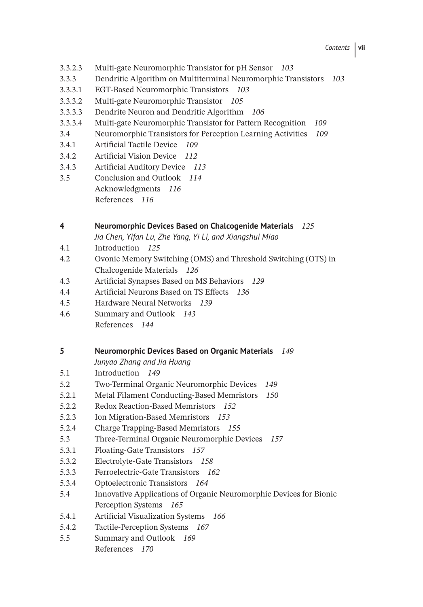- 3.3.2.3 Multi-gate Neuromorphic Transistor for pH Sensor *103*
- 3.3.3 Dendritic Algorithm on Multiterminal Neuromorphic Transistors *103*
- 3.3.3.1 EGT-Based Neuromorphic Transistors *103*
- 3.3.3.2 Multi-gate Neuromorphic Transistor *105*
- 3.3.3.3 Dendrite Neuron and Dendritic Algorithm *106*
- 3.3.3.4 Multi-gate Neuromorphic Transistor for Pattern Recognition *109*
- 3.4 Neuromorphic Transistors for Perception Learning Activities *109*
- 3.4.1 Artificial Tactile Device *109*
- 3.4.2 Artificial Vision Device *112*
- 3.4.3 Artificial Auditory Device *113*
- 3.5 Conclusion and Outlook *114* Acknowledgments *116* References *116*

## **4 Neuromorphic Devices Based on Chalcogenide Materials** *125*

*Jia Chen, Yifan Lu, Zhe Yang, Yi Li, and Xiangshui Miao*

- 4.1 Introduction *125*
- 4.2 Ovonic Memory Switching (OMS) and Threshold Switching (OTS) in Chalcogenide Materials *126*
- 4.3 Artificial Synapses Based on MS Behaviors *129*
- 4.4 Artificial Neurons Based on TS Effects *136*
- 4.5 Hardware Neural Networks *139*
- 4.6 Summary and Outlook *143* References *144*

## **5 Neuromorphic Devices Based on Organic Materials** *149*

- *Junyao Zhang and Jia Huang*
- 5.1 Introduction *149*
- 5.2 Two-Terminal Organic Neuromorphic Devices *149*
- 5.2.1 Metal Filament Conducting-Based Memristors *150*
- 5.2.2 Redox Reaction-Based Memristors *152*
- 5.2.3 Ion Migration-Based Memristors *153*
- 5.2.4 Charge Trapping-Based Memristors *155*
- 5.3 Three-Terminal Organic Neuromorphic Devices *157*
- 5.3.1 Floating-Gate Transistors *157*
- 5.3.2 Electrolyte-Gate Transistors *158*
- 5.3.3 Ferroelectric-Gate Transistors *162*
- 5.3.4 Optoelectronic Transistors *164*
- 5.4 Innovative Applications of Organic Neuromorphic Devices for Bionic Perception Systems *165*
- 5.4.1 Artificial Visualization Systems *166*
- 5.4.2 Tactile-Perception Systems *167*
- 5.5 Summary and Outlook *169* References *170*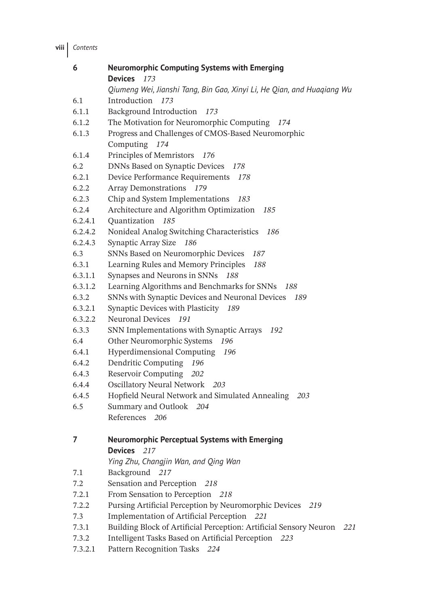**viii** *Contents*

| 6       | <b>Neuromorphic Computing Systems with Emerging</b>                       |
|---------|---------------------------------------------------------------------------|
|         | Devices 173                                                               |
|         | Qiumeng Wei, Jianshi Tang, Bin Gao, Xinyi Li, He Qian, and Huaqiang Wu    |
| 6.1     | Introduction 173                                                          |
| 6.1.1   | <b>Background Introduction</b><br>173                                     |
| 6.1.2   | The Motivation for Neuromorphic Computing<br>174                          |
| 6.1.3   | Progress and Challenges of CMOS-Based Neuromorphic                        |
|         | Computing 174                                                             |
| 6.1.4   | Principles of Memristors<br>- 176                                         |
| 6.2     | <b>DNNs Based on Synaptic Devices</b><br>178                              |
| 6.2.1   | Device Performance Requirements<br>178                                    |
| 6.2.2   | Array Demonstrations<br>179                                               |
| 6.2.3   | Chip and System Implementations<br>183                                    |
| 6.2.4   | Architecture and Algorithm Optimization<br>185                            |
| 6.2.4.1 | Quantization<br>185                                                       |
| 6.2.4.2 | Nonideal Analog Switching Characteristics<br>186                          |
| 6.2.4.3 | Synaptic Array Size<br>186                                                |
| 6.3     | SNNs Based on Neuromorphic Devices<br>187                                 |
| 6.3.1   | Learning Rules and Memory Principles<br>188                               |
| 6.3.1.1 | Synapses and Neurons in SNNs<br>188                                       |
| 6.3.1.2 | Learning Algorithms and Benchmarks for SNNs<br>188                        |
| 6.3.2   | SNNs with Synaptic Devices and Neuronal Devices<br>189                    |
| 6.3.2.1 | Synaptic Devices with Plasticity<br>189                                   |
| 6.3.2.2 | Neuronal Devices 191                                                      |
| 6.3.3   | SNN Implementations with Synaptic Arrays<br>192                           |
| 6.4     | Other Neuromorphic Systems<br>196                                         |
| 6.4.1   | Hyperdimensional Computing<br>196                                         |
| 6.4.2   | Dendritic Computing<br>196                                                |
| 6.4.3   | Reservoir Computing<br>202                                                |
| 6.4.4   | Oscillatory Neural Network 203                                            |
| 6.4.5   | Hopfield Neural Network and Simulated Annealing<br>203                    |
| 6.5     | Summary and Outlook 204                                                   |
|         | References 206                                                            |
|         |                                                                           |
| 7       | <b>Neuromorphic Perceptual Systems with Emerging</b>                      |
|         | <b>Devices</b><br>217                                                     |
|         | Ying Zhu, Changjin Wan, and Qing Wan                                      |
| 7.1     | Background 217                                                            |
| 7.2     | Sensation and Perception<br>218                                           |
| 7.2.1   | From Sensation to Perception<br>218                                       |
| 7.2.2   | Pursing Artificial Perception by Neuromorphic Devices<br>219              |
| 7.3     | Implementation of Artificial Perception 221                               |
| 7.3.1   | Building Block of Artificial Perception: Artificial Sensory Neuron<br>221 |
| 7.3.2   | Intelligent Tasks Based on Artificial Perception 223                      |
| 7.3.2.1 | Pattern Recognition Tasks<br>224                                          |
|         |                                                                           |